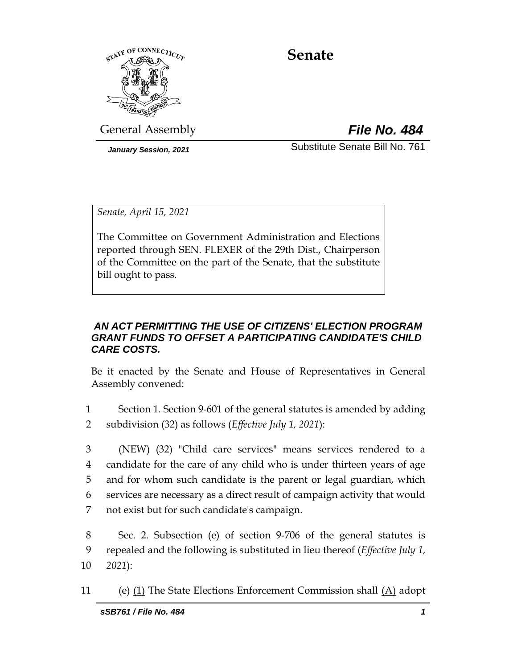

# **Senate**

General Assembly *File No. 484*

*January Session, 2021* Substitute Senate Bill No. 761

*Senate, April 15, 2021*

The Committee on Government Administration and Elections reported through SEN. FLEXER of the 29th Dist., Chairperson of the Committee on the part of the Senate, that the substitute bill ought to pass.

## *AN ACT PERMITTING THE USE OF CITIZENS' ELECTION PROGRAM GRANT FUNDS TO OFFSET A PARTICIPATING CANDIDATE'S CHILD CARE COSTS.*

Be it enacted by the Senate and House of Representatives in General Assembly convened:

- 1 Section 1. Section 9-601 of the general statutes is amended by adding 2 subdivision (32) as follows (*Effective July 1, 2021*):
- 3 (NEW) (32) "Child care services" means services rendered to a 4 candidate for the care of any child who is under thirteen years of age 5 and for whom such candidate is the parent or legal guardian, which 6 services are necessary as a direct result of campaign activity that would 7 not exist but for such candidate's campaign.
- 8 Sec. 2. Subsection (e) of section 9-706 of the general statutes is 9 repealed and the following is substituted in lieu thereof (*Effective July 1,*  10 *2021*):
- 11 (e) (1) The State Elections Enforcement Commission shall (A) adopt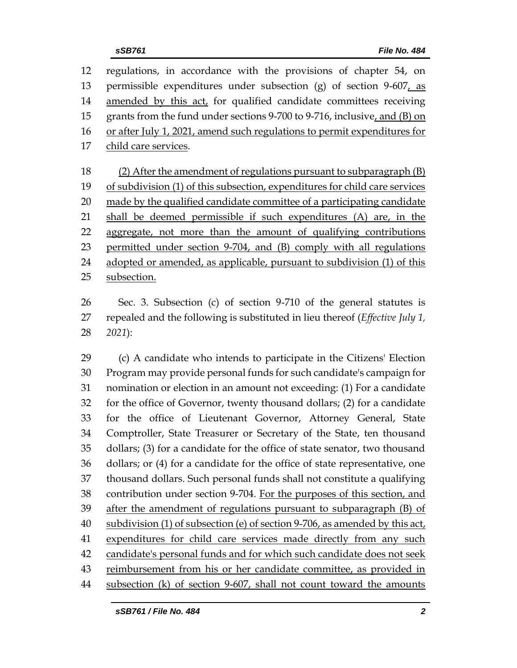| 12 | regulations, in accordance with the provisions of chapter 54, on            |  |  |
|----|-----------------------------------------------------------------------------|--|--|
| 13 | permissible expenditures under subsection (g) of section $9-607$ , as       |  |  |
| 14 | amended by this act, for qualified candidate committees receiving           |  |  |
| 15 | grants from the fund under sections 9-700 to 9-716, inclusive, and (B) on   |  |  |
| 16 | or after July 1, 2021, amend such regulations to permit expenditures for    |  |  |
| 17 | child care services.                                                        |  |  |
|    |                                                                             |  |  |
| 18 | (2) After the amendment of regulations pursuant to subparagraph $(B)$       |  |  |
| 19 | of subdivision (1) of this subsection, expenditures for child care services |  |  |
| 20 | made by the qualified candidate committee of a participating candidate      |  |  |
| 21 | shall be deemed permissible if such expenditures (A) are, in the            |  |  |
| 22 | aggregate, not more than the amount of qualifying contributions             |  |  |
| 23 | permitted under section 9-704, and (B) comply with all regulations          |  |  |
| 24 | adopted or amended, as applicable, pursuant to subdivision (1) of this      |  |  |
| 25 | subsection.                                                                 |  |  |

26 Sec. 3. Subsection (c) of section 9-710 of the general statutes is 27 repealed and the following is substituted in lieu thereof (*Effective July 1,*  28 *2021*):

 (c) A candidate who intends to participate in the Citizens' Election Program may provide personal funds for such candidate's campaign for nomination or election in an amount not exceeding: (1) For a candidate for the office of Governor, twenty thousand dollars; (2) for a candidate for the office of Lieutenant Governor, Attorney General, State Comptroller, State Treasurer or Secretary of the State, ten thousand dollars; (3) for a candidate for the office of state senator, two thousand dollars; or (4) for a candidate for the office of state representative, one thousand dollars. Such personal funds shall not constitute a qualifying contribution under section 9-704. For the purposes of this section, and after the amendment of regulations pursuant to subparagraph (B) of 40 subdivision (1) of subsection (e) of section 9-706, as amended by this act, expenditures for child care services made directly from any such candidate's personal funds and for which such candidate does not seek 43 reimbursement from his or her candidate committee, as provided in subsection (k) of section 9-607, shall not count toward the amounts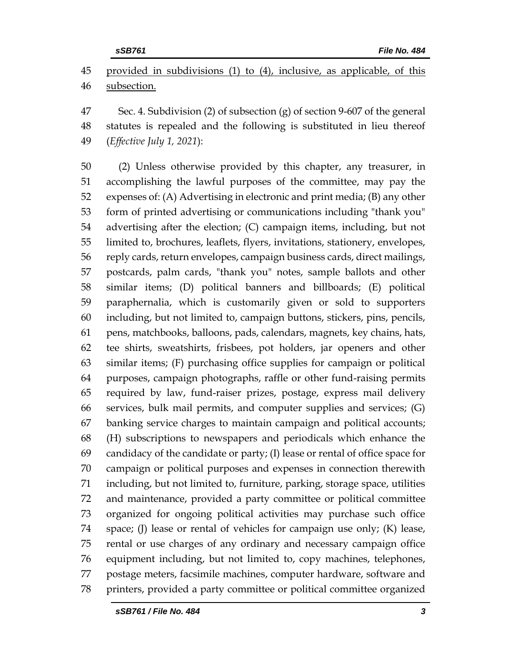provided in subdivisions (1) to (4), inclusive, as applicable, of this subsection.

 Sec. 4. Subdivision (2) of subsection (g) of section 9-607 of the general statutes is repealed and the following is substituted in lieu thereof (*Effective July 1, 2021*):

 (2) Unless otherwise provided by this chapter, any treasurer, in accomplishing the lawful purposes of the committee, may pay the expenses of: (A) Advertising in electronic and print media; (B) any other form of printed advertising or communications including "thank you" advertising after the election; (C) campaign items, including, but not limited to, brochures, leaflets, flyers, invitations, stationery, envelopes, reply cards, return envelopes, campaign business cards, direct mailings, postcards, palm cards, "thank you" notes, sample ballots and other similar items; (D) political banners and billboards; (E) political paraphernalia, which is customarily given or sold to supporters including, but not limited to, campaign buttons, stickers, pins, pencils, pens, matchbooks, balloons, pads, calendars, magnets, key chains, hats, tee shirts, sweatshirts, frisbees, pot holders, jar openers and other similar items; (F) purchasing office supplies for campaign or political purposes, campaign photographs, raffle or other fund-raising permits required by law, fund-raiser prizes, postage, express mail delivery services, bulk mail permits, and computer supplies and services; (G) banking service charges to maintain campaign and political accounts; (H) subscriptions to newspapers and periodicals which enhance the candidacy of the candidate or party; (I) lease or rental of office space for campaign or political purposes and expenses in connection therewith including, but not limited to, furniture, parking, storage space, utilities and maintenance, provided a party committee or political committee organized for ongoing political activities may purchase such office space; (J) lease or rental of vehicles for campaign use only; (K) lease, rental or use charges of any ordinary and necessary campaign office equipment including, but not limited to, copy machines, telephones, postage meters, facsimile machines, computer hardware, software and printers, provided a party committee or political committee organized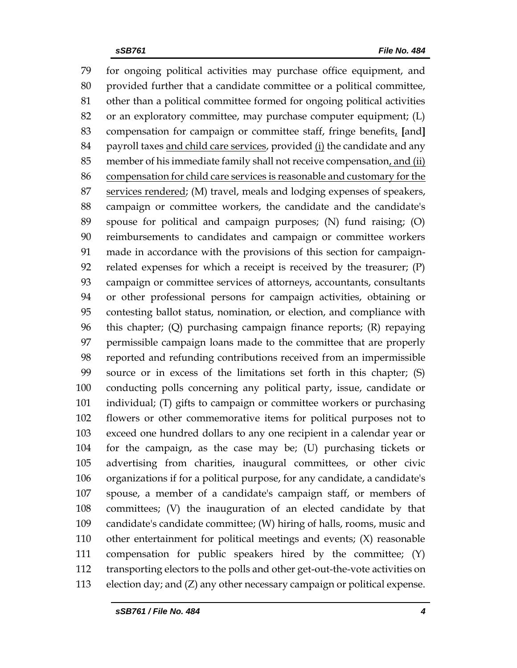for ongoing political activities may purchase office equipment, and provided further that a candidate committee or a political committee, other than a political committee formed for ongoing political activities or an exploratory committee, may purchase computer equipment; (L) compensation for campaign or committee staff, fringe benefits, **[**and**]** 84 payroll taxes and child care services, provided (i) the candidate and any 85 member of his immediate family shall not receive compensation, and (ii) compensation for child care services is reasonable and customary for the services rendered; (M) travel, meals and lodging expenses of speakers, campaign or committee workers, the candidate and the candidate's spouse for political and campaign purposes; (N) fund raising; (O) reimbursements to candidates and campaign or committee workers made in accordance with the provisions of this section for campaign- related expenses for which a receipt is received by the treasurer; (P) campaign or committee services of attorneys, accountants, consultants or other professional persons for campaign activities, obtaining or contesting ballot status, nomination, or election, and compliance with this chapter; (Q) purchasing campaign finance reports; (R) repaying permissible campaign loans made to the committee that are properly reported and refunding contributions received from an impermissible source or in excess of the limitations set forth in this chapter; (S) conducting polls concerning any political party, issue, candidate or individual; (T) gifts to campaign or committee workers or purchasing flowers or other commemorative items for political purposes not to exceed one hundred dollars to any one recipient in a calendar year or for the campaign, as the case may be; (U) purchasing tickets or advertising from charities, inaugural committees, or other civic organizations if for a political purpose, for any candidate, a candidate's spouse, a member of a candidate's campaign staff, or members of committees; (V) the inauguration of an elected candidate by that candidate's candidate committee; (W) hiring of halls, rooms, music and other entertainment for political meetings and events; (X) reasonable compensation for public speakers hired by the committee; (Y) transporting electors to the polls and other get-out-the-vote activities on election day; and (Z) any other necessary campaign or political expense.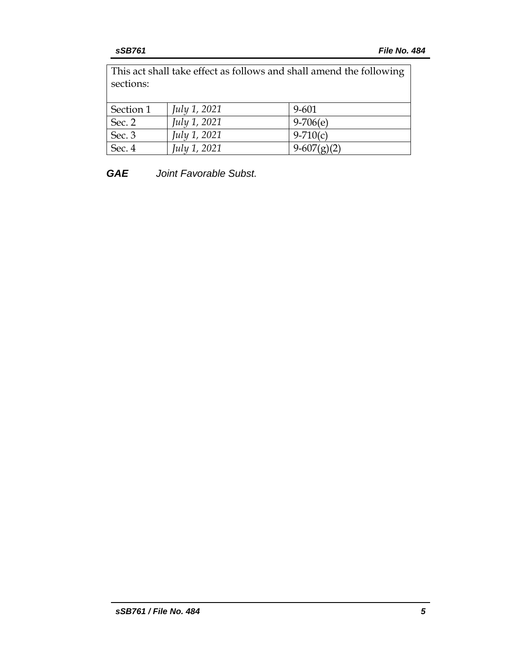This act shall take effect as follows and shall amend the following sections:

| Section 1 | July 1, 2021 | 9-601         |
|-----------|--------------|---------------|
| Sec. 2    | July 1, 2021 | $9-706(e)$    |
| Sec. 3    | July 1, 2021 | $9-710(c)$    |
| Sec. 4    | July 1, 2021 | $9-607(g)(2)$ |

*GAE Joint Favorable Subst.*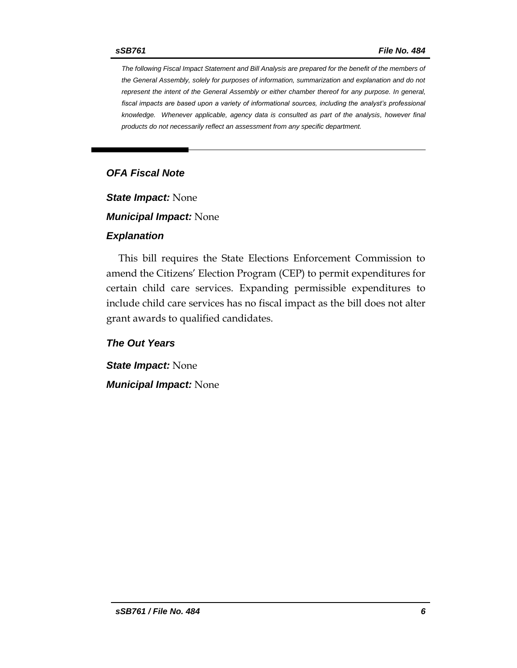*The following Fiscal Impact Statement and Bill Analysis are prepared for the benefit of the members of the General Assembly, solely for purposes of information, summarization and explanation and do not represent the intent of the General Assembly or either chamber thereof for any purpose. In general,*  fiscal impacts are based upon a variety of informational sources, including the analyst's professional *knowledge. Whenever applicable, agency data is consulted as part of the analysis, however final products do not necessarily reflect an assessment from any specific department.*

## *OFA Fiscal Note*

*State Impact:* None

*Municipal Impact:* None

#### *Explanation*

This bill requires the State Elections Enforcement Commission to amend the Citizens' Election Program (CEP) to permit expenditures for certain child care services. Expanding permissible expenditures to include child care services has no fiscal impact as the bill does not alter grant awards to qualified candidates.

*The Out Years*

*State Impact:* None *Municipal Impact:* None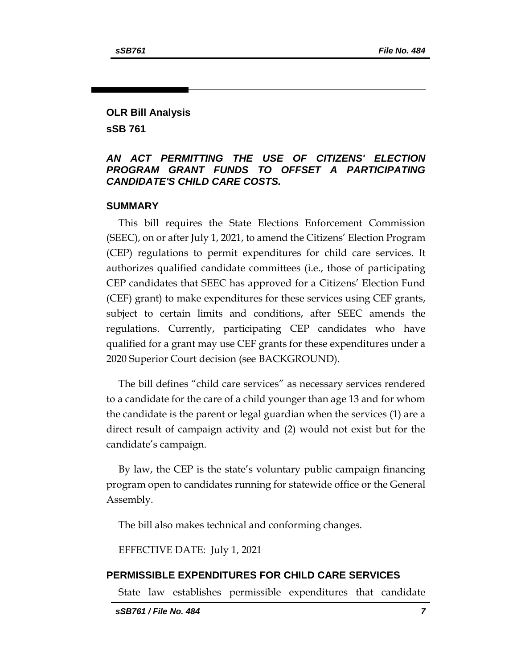## **OLR Bill Analysis**

**sSB 761**

#### *AN ACT PERMITTING THE USE OF CITIZENS' ELECTION PROGRAM GRANT FUNDS TO OFFSET A PARTICIPATING CANDIDATE'S CHILD CARE COSTS.*

#### **SUMMARY**

This bill requires the State Elections Enforcement Commission (SEEC), on or after July 1, 2021, to amend the Citizens' Election Program (CEP) regulations to permit expenditures for child care services. It authorizes qualified candidate committees (i.e., those of participating CEP candidates that SEEC has approved for a Citizens' Election Fund (CEF) grant) to make expenditures for these services using CEF grants, subject to certain limits and conditions, after SEEC amends the regulations. Currently, participating CEP candidates who have qualified for a grant may use CEF grants for these expenditures under a 2020 Superior Court decision (see BACKGROUND).

The bill defines "child care services" as necessary services rendered to a candidate for the care of a child younger than age 13 and for whom the candidate is the parent or legal guardian when the services (1) are a direct result of campaign activity and (2) would not exist but for the candidate's campaign.

By law, the CEP is the state's voluntary public campaign financing program open to candidates running for statewide office or the General Assembly.

The bill also makes technical and conforming changes.

EFFECTIVE DATE: July 1, 2021

#### **PERMISSIBLE EXPENDITURES FOR CHILD CARE SERVICES**

State law establishes permissible expenditures that candidate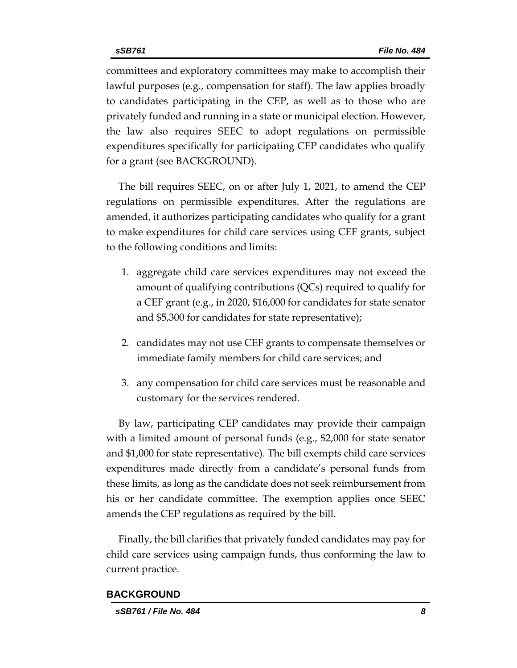committees and exploratory committees may make to accomplish their lawful purposes (e.g., compensation for staff). The law applies broadly to candidates participating in the CEP, as well as to those who are privately funded and running in a state or municipal election. However, the law also requires SEEC to adopt regulations on permissible expenditures specifically for participating CEP candidates who qualify for a grant (see BACKGROUND).

The bill requires SEEC, on or after July 1, 2021, to amend the CEP regulations on permissible expenditures. After the regulations are amended, it authorizes participating candidates who qualify for a grant to make expenditures for child care services using CEF grants, subject to the following conditions and limits:

- 1. aggregate child care services expenditures may not exceed the amount of qualifying contributions (QCs) required to qualify for a CEF grant (e.g., in 2020, \$16,000 for candidates for state senator and \$5,300 for candidates for state representative);
- 2. candidates may not use CEF grants to compensate themselves or immediate family members for child care services; and
- 3. any compensation for child care services must be reasonable and customary for the services rendered.

By law, participating CEP candidates may provide their campaign with a limited amount of personal funds (e.g., \$2,000 for state senator and \$1,000 for state representative). The bill exempts child care services expenditures made directly from a candidate's personal funds from these limits, as long as the candidate does not seek reimbursement from his or her candidate committee. The exemption applies once SEEC amends the CEP regulations as required by the bill.

Finally, the bill clarifies that privately funded candidates may pay for child care services using campaign funds, thus conforming the law to current practice.

#### **BACKGROUND**